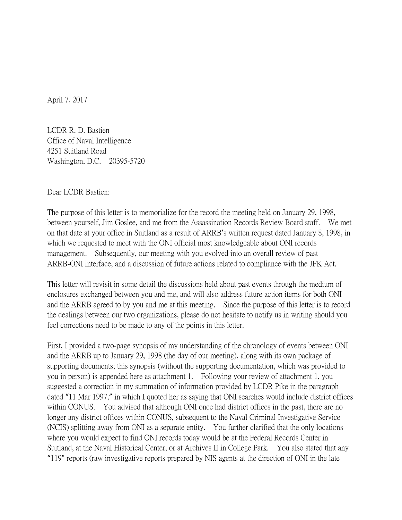April 7, 2017

LCDR R. D. Bastien Office of Naval Intelligence 4251 Suitland Road Washington, D.C. 20395-5720

Dear LCDR Bastien:

The purpose of this letter is to memorialize for the record the meeting held on January 29, 1998, between yourself, Jim Goslee, and me from the Assassination Records Review Board staff. We met on that date at your office in Suitland as a result of ARRB's written request dated January 8, 1998, in which we requested to meet with the ONI official most knowledgeable about ONI records management. Subsequently, our meeting with you evolved into an overall review of past ARRB-ONI interface, and a discussion of future actions related to compliance with the JFK Act.

This letter will revisit in some detail the discussions held about past events through the medium of enclosures exchanged between you and me, and will also address future action items for both ONI and the ARRB agreed to by you and me at this meeting. Since the purpose of this letter is to record the dealings between our two organizations, please do not hesitate to notify us in writing should you feel corrections need to be made to any of the points in this letter.

First, I provided a two-page synopsis of my understanding of the chronology of events between ONI and the ARRB up to January 29, 1998 (the day of our meeting), along with its own package of supporting documents; this synopsis (without the supporting documentation, which was provided to you in person) is appended here as attachment 1. Following your review of attachment 1, you suggested a correction in my summation of information provided by LCDR Pike in the paragraph dated "11 Mar 1997," in which I quoted her as saying that ONI searches would include district offices within CONUS. You advised that although ONI once had district offices in the past, there are no longer any district offices within CONUS, subsequent to the Naval Criminal Investigative Service (NCIS) splitting away from ONI as a separate entity. You further clarified that the only locations where you would expect to find ONI records today would be at the Federal Records Center in Suitland, at the Naval Historical Center, or at Archives II in College Park. You also stated that any "119" reports (raw investigative reports prepared by NIS agents at the direction of ONI in the late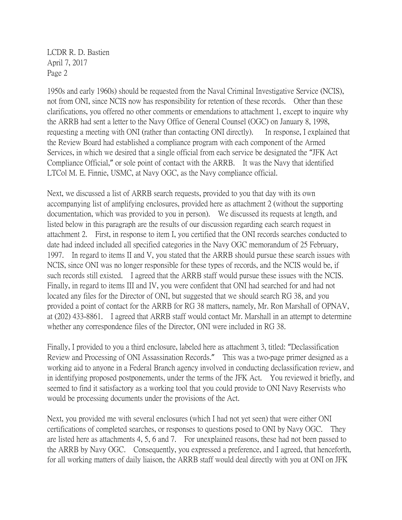1950s and early 1960s) should be requested from the Naval Criminal Investigative Service (NCIS), not from ONI, since NCIS now has responsibility for retention of these records. Other than these clarifications, you offered no other comments or emendations to attachment 1, except to inquire why the ARRB had sent a letter to the Navy Office of General Counsel (OGC) on January 8, 1998, requesting a meeting with ONI (rather than contacting ONI directly). In response, I explained that the Review Board had established a compliance program with each component of the Armed Services, in which we desired that a single official from each service be designated the "JFK Act Compliance Official," or sole point of contact with the ARRB. It was the Navy that identified LTCol M. E. Finnie, USMC, at Navy OGC, as the Navy compliance official.

Next, we discussed a list of ARRB search requests, provided to you that day with its own accompanying list of amplifying enclosures, provided here as attachment 2 (without the supporting documentation, which was provided to you in person). We discussed its requests at length, and listed below in this paragraph are the results of our discussion regarding each search request in attachment 2. First, in response to item I, you certified that the ONI records searches conducted to date had indeed included all specified categories in the Navy OGC memorandum of 25 February, 1997. In regard to items II and V, you stated that the ARRB should pursue these search issues with NCIS, since ONI was no longer responsible for these types of records, and the NCIS would be, if such records still existed. I agreed that the ARRB staff would pursue these issues with the NCIS. Finally, in regard to items III and IV, you were confident that ONI had searched for and had not located any files for the Director of ONI, but suggested that we should search RG 38, and you provided a point of contact for the ARRB for RG 38 matters, namely, Mr. Ron Marshall of OPNAV, at (202) 433-8861. I agreed that ARRB staff would contact Mr. Marshall in an attempt to determine whether any correspondence files of the Director, ONI were included in RG 38.

Finally, I provided to you a third enclosure, labeled here as attachment 3, titled: "Declassification Review and Processing of ONI Assassination Records." This was a two-page primer designed as a working aid to anyone in a Federal Branch agency involved in conducting declassification review, and in identifying proposed postponements, under the terms of the JFK Act. You reviewed it briefly, and seemed to find it satisfactory as a working tool that you could provide to ONI Navy Reservists who would be processing documents under the provisions of the Act.

Next, you provided me with several enclosures (which I had not yet seen) that were either ONI certifications of completed searches, or responses to questions posed to ONI by Navy OGC. They are listed here as attachments 4, 5, 6 and 7. For unexplained reasons, these had not been passed to the ARRB by Navy OGC. Consequently, you expressed a preference, and I agreed, that henceforth, for all working matters of daily liaison, the ARRB staff would deal directly with you at ONI on JFK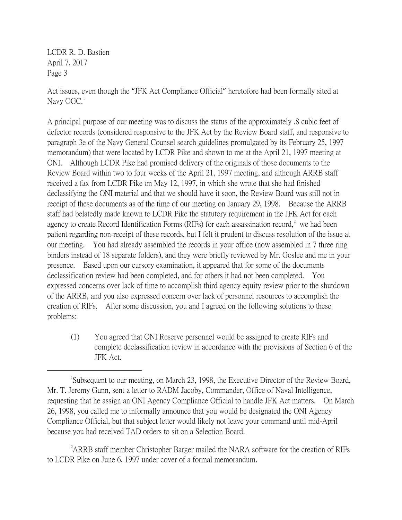Act issues, even though the "JFK Act Compliance Official" heretofore had been formally sited at Navy  $OGC<sup>1</sup>$  $OGC<sup>1</sup>$  $OGC<sup>1</sup>$ 

A principal purpose of our meeting was to discuss the status of the approximately .8 cubic feet of defector records (considered responsive to the JFK Act by the Review Board staff, and responsive to paragraph 3e of the Navy General Counsel search guidelines promulgated by its February 25, 1997 memorandum) that were located by LCDR Pike and shown to me at the April 21, 1997 meeting at ONI. Although LCDR Pike had promised delivery of the originals of those documents to the Review Board within two to four weeks of the April 21, 1997 meeting, and although ARRB staff received a fax from LCDR Pike on May 12, 1997, in which she wrote that she had finished declassifying the ONI material and that we should have it soon, the Review Board was still not in receipt of these documents as of the time of our meeting on January 29, 1998. Because the ARRB staff had belatedly made known to LCDR Pike the statutory requirement in the JFK Act for each agency to create Record Identification Forms (RIFs) for each assassination record,<sup>[2](#page-2-1)</sup> we had been patient regarding non-receipt of these records, but I felt it prudent to discuss resolution of the issue at our meeting. You had already assembled the records in your office (now assembled in 7 three ring binders instead of 18 separate folders), and they were briefly reviewed by Mr. Goslee and me in your presence. Based upon our cursory examination, it appeared that for some of the documents declassification review had been completed, and for others it had not been completed. You expressed concerns over lack of time to accomplish third agency equity review prior to the shutdown of the ARRB, and you also expressed concern over lack of personnel resources to accomplish the creation of RIFs. After some discussion, you and I agreed on the following solutions to these problems:

(1) You agreed that ONI Reserve personnel would be assigned to create RIFs and complete declassification review in accordance with the provisions of Section 6 of the JFK Act.

<span id="page-2-1"></span><sup>2</sup> ARRB staff member Christopher Barger mailed the NARA software for the creation of RIFs to LCDR Pike on June 6, 1997 under cover of a formal memorandum.

<span id="page-2-0"></span> $\overline{\phantom{a}}$ Subsequent to our meeting, on March 23, 1998, the Executive Director of the Review Board, Mr. T. Jeremy Gunn, sent a letter to RADM Jacoby, Commander, Office of Naval Intelligence, requesting that he assign an ONI Agency Compliance Official to handle JFK Act matters. On March 26, 1998, you called me to informally announce that you would be designated the ONI Agency Compliance Official, but that subject letter would likely not leave your command until mid-April because you had received TAD orders to sit on a Selection Board.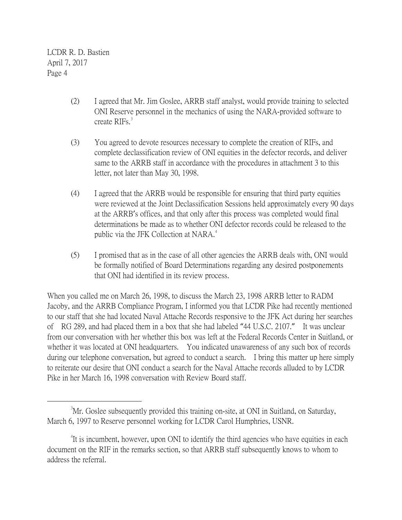- (2) I agreed that Mr. Jim Goslee, ARRB staff analyst, would provide training to selected ONI Reserve personnel in the mechanics of using the NARA-provided software to create RIFs.<sup>[3](#page-3-0)</sup>
- (3) You agreed to devote resources necessary to complete the creation of RIFs, and complete declassification review of ONI equities in the defector records, and deliver same to the ARRB staff in accordance with the procedures in attachment 3 to this letter, not later than May 30, 1998.
- (4) I agreed that the ARRB would be responsible for ensuring that third party equities were reviewed at the Joint Declassification Sessions held approximately every 90 days at the ARRB's offices, and that only after this process was completed would final determinations be made as to whether ONI defector records could be released to the public via the JFK Collection at NARA.<sup>[4](#page-3-1)</sup>
- (5) I promised that as in the case of all other agencies the ARRB deals with, ONI would be formally notified of Board Determinations regarding any desired postponements that ONI had identified in its review process.

When you called me on March 26, 1998, to discuss the March 23, 1998 ARRB letter to RADM Jacoby, and the ARRB Compliance Program, I informed you that LCDR Pike had recently mentioned to our staff that she had located Naval Attache Records responsive to the JFK Act during her searches of RG 289, and had placed them in a box that she had labeled "44 U.S.C. 2107." It was unclear from our conversation with her whether this box was left at the Federal Records Center in Suitland, or whether it was located at ONI headquarters. You indicated unawareness of any such box of records during our telephone conversation, but agreed to conduct a search. I bring this matter up here simply to reiterate our desire that ONI conduct a search for the Naval Attache records alluded to by LCDR Pike in her March 16, 1998 conversation with Review Board staff.

<span id="page-3-0"></span> $\frac{1}{3}$ <sup>3</sup>Mr. Goslee subsequently provided this training on-site, at ONI in Suitland, on Saturday, March 6, 1997 to Reserve personnel working for LCDR Carol Humphries, USNR.

<span id="page-3-1"></span><sup>&</sup>lt;sup>4</sup>It is incumbent, however, upon ONI to identify the third agencies who have equities in each document on the RIF in the remarks section, so that ARRB staff subsequently knows to whom to address the referral.